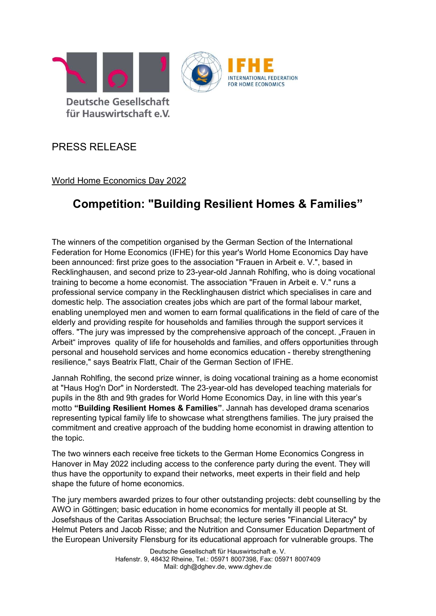

## PRESS RELEASE

World Home Economics Day 2022

## Competition: "Building Resilient Homes & Families"

The winners of the competition organised by the German Section of the International Federation for Home Economics (IFHE) for this year's World Home Economics Day have been announced: first prize goes to the association "Frauen in Arbeit e. V.", based in Recklinghausen, and second prize to 23-year-old Jannah Rohlfing, who is doing vocational training to become a home economist. The association "Frauen in Arbeit e. V." runs a professional service company in the Recklinghausen district which specialises in care and domestic help. The association creates jobs which are part of the formal labour market, enabling unemployed men and women to earn formal qualifications in the field of care of the elderly and providing respite for households and families through the support services it offers. "The jury was impressed by the comprehensive approach of the concept. "Frauen in Arbeit" improves quality of life for households and families, and offers opportunities through personal and household services and home economics education - thereby strengthening resilience," says Beatrix Flatt, Chair of the German Section of IFHE.

Jannah Rohlfing, the second prize winner, is doing vocational training as a home economist at "Haus Hog'n Dor" in Norderstedt. The 23-year-old has developed teaching materials for pupils in the 8th and 9th grades for World Home Economics Day, in line with this year's motto "Building Resilient Homes & Families". Jannah has developed drama scenarios representing typical family life to showcase what strengthens families. The jury praised the commitment and creative approach of the budding home economist in drawing attention to the topic.

The two winners each receive free tickets to the German Home Economics Congress in Hanover in May 2022 including access to the conference party during the event. They will thus have the opportunity to expand their networks, meet experts in their field and help shape the future of home economics.

The jury members awarded prizes to four other outstanding projects: debt counselling by the AWO in Göttingen; basic education in home economics for mentally ill people at St. Josefshaus of the Caritas Association Bruchsal; the lecture series "Financial Literacy" by Helmut Peters and Jacob Risse; and the Nutrition and Consumer Education Department of the European University Flensburg for its educational approach for vulnerable groups. The